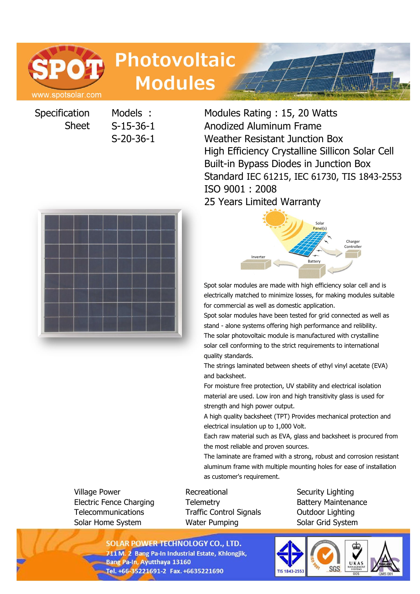# **POT** www.spotsolar.com

**Photovoltaic Modules** 

**Specification** Sheet

Models : Modules Rating : 15, 20 Watts S-15-36-1 Anodized Aluminum Frame S-20-36-1 Weather Resistant Junction Box High Efficiency Crystalline Sillicon Solar Cell Built-in Bypass Diodes in Junction Box Standard IEC 61215, IEC 61730, TIS 1843-2553 ISO 9001 : 2008 25 Years Limited Warranty





Spot solar modules are made with high efficiency solar cell and is electrically matched to minimize losses, for making modules suitable for commercial as well as domestic application.

Spot solar modules have been tested for grid connected as well as stand - alone systems offering high performance and relibility. The solar photovoltaic module is manufactured with crystalline solar cell conforming to the strict requirements to international quality standards.

The strings laminated between sheets of ethyl vinyl acetate (EVA) and backsheet.

For moisture free protection, UV stability and electrical isolation material are used. Low iron and high transitivity glass is used for strength and high power output.

A high quality backsheet (TPT) Provides mechanical protection and electrical insulation up to 1,000 Volt.

Each raw material such as EVA, glass and backsheet is procured from the most reliable and proven sources.

The laminate are framed with a strong, robust and corrosion resistant aluminum frame with multiple mounting holes for ease of installation as customer's requirement.

Village Power **Recreational** Security Lighting Security Lighting Electric Fence Charging Telemetry Battery Maintenance Telecommunications Traffic Control Signals Outdoor Lighting Solar Home System **Water Pumping Solar Grid System** 

**SOLAR POWER TECHNOLOGY CO., LTD.** 711 M. 2 Bang Pa-In Industrial Estate, Khlongjik, **Bang Pa-In, Ayutthaya 13160** Tel. +66-35221691-2 Fax. +6635221690